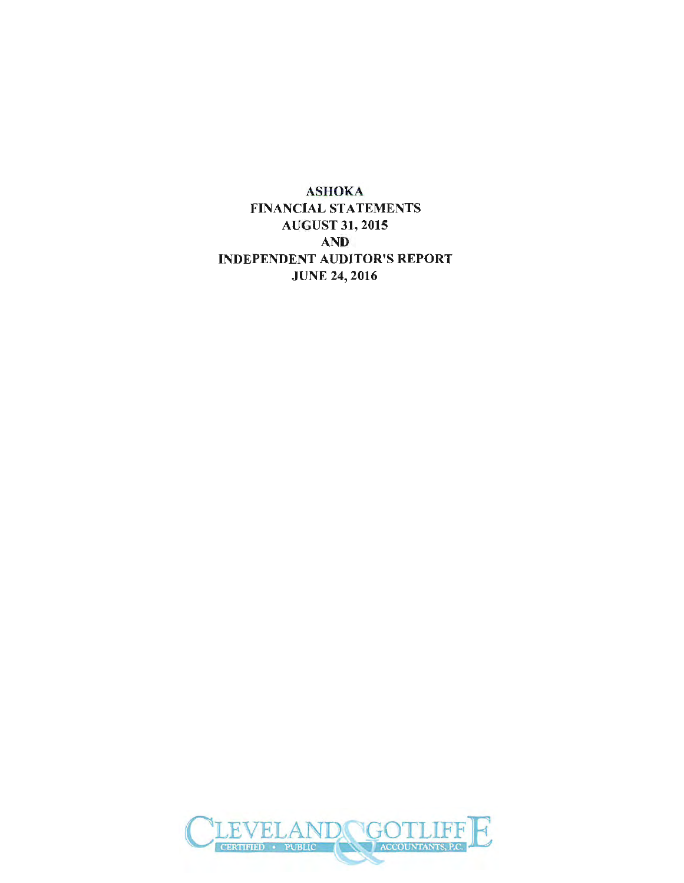ASHOKA FINANCIAL STATEMENTS AUGUST 31, 2015 AND INDEPENDENT AUDITOR'S REPORT JUNE 24, 2016

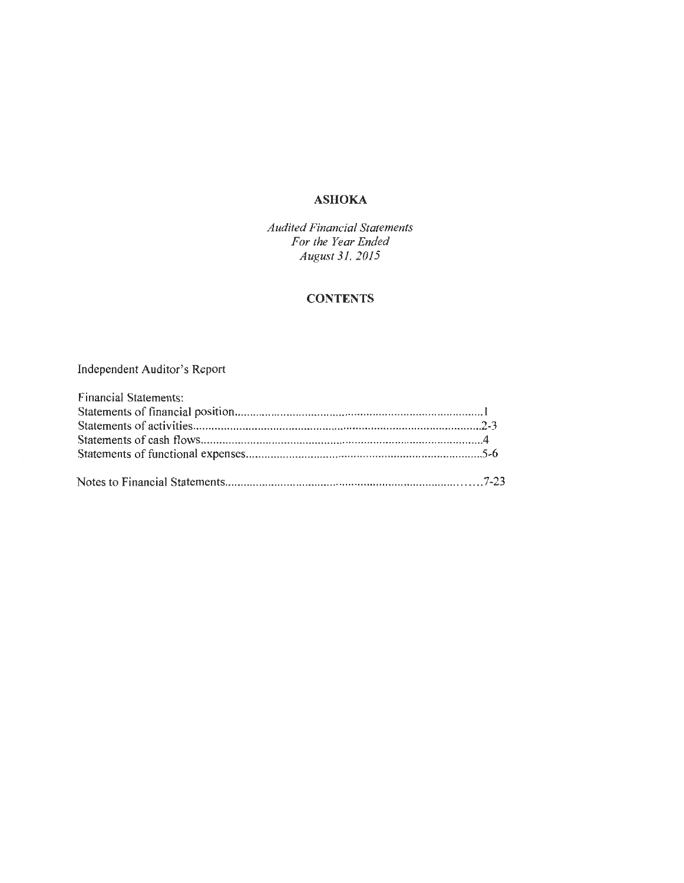### **ASHOKA**

*Audited Financial Statements For the Year Ended August 31, 2015* 

## **CONTENTS**

## Independent Auditor's Report

| <b>Financial Statements:</b> |  |
|------------------------------|--|
|                              |  |
|                              |  |
|                              |  |
|                              |  |
|                              |  |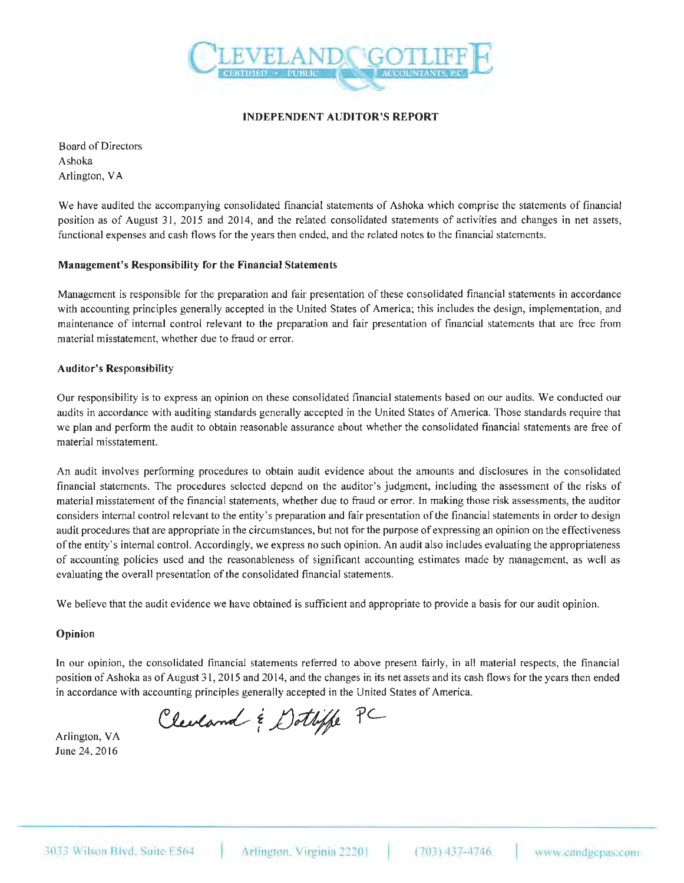

#### INDEPENDENT AUDITOR'S REPORT

Board of Directors Ashoka Arlington, VA

We have audited the accompanying consolidated financial statements of Ashoka which comprise the statements of financial position as of August 31, 2015 and 2014, and the related consolidated statements of activities and changes in net assets, functional expenses and cash flows for the years then ended, and the related notes to the financial statements.

#### Management's Responsibility for the Financial Statements

Management is responsible for the preparation and fair presentation of these consolidated financial statements in accordance with accounting principles generally accepted in the United States of America; this includes the design, implementation, and maintenance of internal control relevant to the preparation and fair presentation of financial statements that are free from material misstatement, whether due to fraud or error.

#### Auditor's Responsibility

Our responsibility is to express an opinion on these consolidated financial statements based on our audits. We conducted our audits in accordance with auditing standards generally accepted in the United States of America. Those standards require that we plan and perform the audit to obtain reasonable assurance about whether the consolidated financial statements are free of material misstatement.

An audit involves performing procedures to obtain audit evidence about the amounts and disclosures in the consolidated financial statements. The procedures selected depend on the auditor's judgment, including the assessment of the risks of material misstatement of the financial statements, whether due to fraud or error. ln making those risk assessments, the auditor considers internal control relevant to the entity's preparation and fair presentation of the financial statements in order to design audit procedures that are appropriate in the circumstances, but not for the purpose of expressing an opinion on the effectiveness of the entity's internal control. Accordingly, we express no such opinion. An audit also includes evaluating the appropriateness of accounting policies used and the reasonableness of significant accounting estimates made by management, as well as evaluating the overall presentation of the consolidated financial statements.

We believe that the audit evidence we have obtained is sufficient and appropriate to provide a basis for our audit opinion.

#### Opinion

Jn our opinion, the consolidated financial statements referred to above present fairly, in all material respects, the financial position of Ashoka as of August 31, 2015 and 20 14, and the changes in its net assets and its cash flows for the years then ended in accordance with accounting principles generally accepted in the United States of America.

Clearand & Dottiffe PC

Arlington, VA June 24, 20 16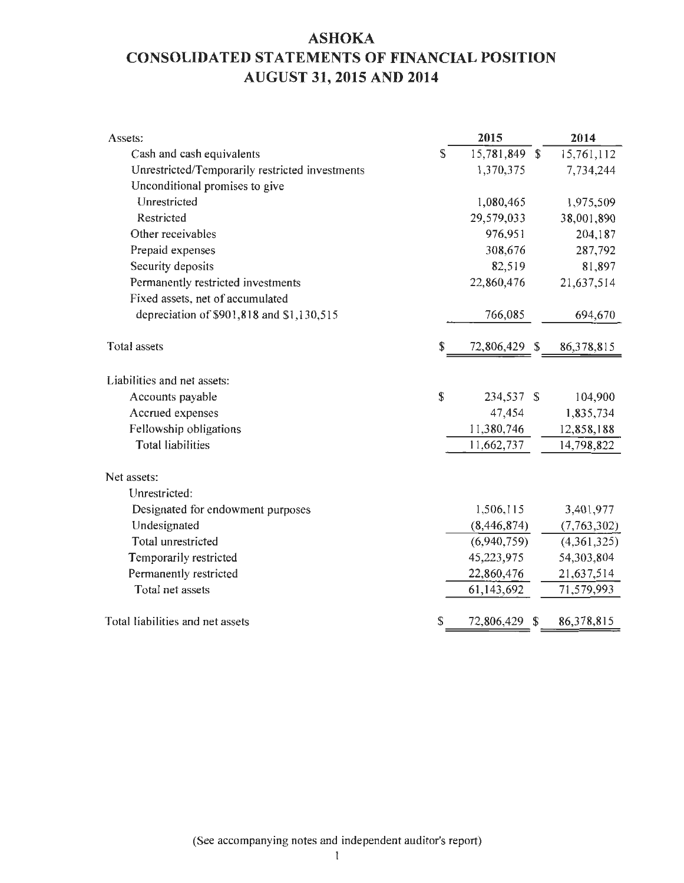# **ASHOKA CONSOLIDATED STATEMENTS OF FINANCIAL POSITION AUGUST 31, 2015 AND 2014**

| Assets:                                         |                    | 2015          |   | 2014        |
|-------------------------------------------------|--------------------|---------------|---|-------------|
| Cash and cash equivalents                       | S                  | 15,781,849 \$ |   | 15,761,112  |
| Unrestricted/Temporarily restricted investments |                    | 1,370,375     |   | 7,734,244   |
| Unconditional promises to give                  |                    |               |   |             |
| Unrestricted                                    |                    | 1,080,465     |   | 1,975,509   |
| Restricted                                      |                    | 29,579,033    |   | 38,001,890  |
| Other receivables                               |                    | 976,951       |   | 204,187     |
| Prepaid expenses                                |                    | 308,676       |   | 287,792     |
| Security deposits                               |                    | 82,519        |   | 81,897      |
| Permanently restricted investments              |                    | 22,860,476    |   | 21,637,514  |
| Fixed assets, net of accumulated                |                    |               |   |             |
| depreciation of \$901,818 and \$1,130,515       |                    | 766,085       |   | 694,670     |
|                                                 |                    |               |   |             |
| <b>Total</b> assets                             | \$                 | 72,806,429 \$ |   | 86,378,815  |
| Liabilities and net assets:                     |                    |               |   |             |
| Accounts payable                                | $\mathbf{\hat{S}}$ | 234,537 \$    |   | 104,900     |
| Accrued expenses                                |                    | 47,454        |   | 1,835,734   |
| Fellowship obligations                          |                    | 11,380,746    |   | 12,858,188  |
| <b>Total liabilities</b>                        |                    | 11,662,737    |   | 14,798,822  |
| Net assets:                                     |                    |               |   |             |
| Unrestricted:                                   |                    |               |   |             |
| Designated for endowment purposes               |                    | 1,506,115     |   | 3,401,977   |
| Undesignated                                    |                    | (8,446,874)   |   | (7,763,302) |
| Total unrestricted                              |                    | (6,940,759)   |   | (4,361,325) |
| Temporarily restricted                          |                    | 45,223,975    |   | 54,303,804  |
| Permanently restricted                          |                    | 22,860,476    |   | 21,637,514  |
| Total net assets                                |                    | 61,143,692    |   | 71,579,993  |
|                                                 |                    |               |   |             |
| Total liabilities and net assets                | S                  | 72,806,429    | S | 86,378,815  |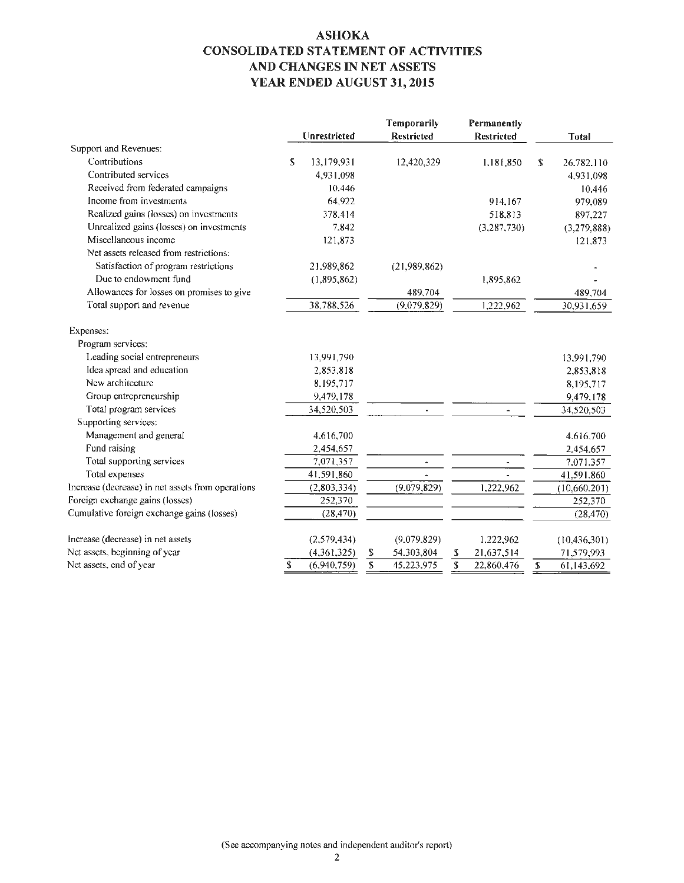### **ASHOKA CONSOLIDATED STATEMENT OF ACTIVITIES AND CHANGES IN NET ASSETS YEAR ENDED AUGUST 31,2015**

|                                                   |    |              |           | Temporarily              |               | Permanently              |    |                |
|---------------------------------------------------|----|--------------|-----------|--------------------------|---------------|--------------------------|----|----------------|
|                                                   |    | Unrestricted |           | <b>Restricted</b>        |               | <b>Restricted</b>        |    | <b>Total</b>   |
| Support and Revenues:                             |    |              |           |                          |               |                          |    |                |
| Contributions                                     | S. | 13,179,931   |           | 12,420,329               |               | 1,181,850                | S. | 26.782.110     |
| Contributed services                              |    | 4,931,098    |           |                          |               |                          |    | 4,931,098      |
| Received from federated campaigns                 |    | 10.446       |           |                          |               |                          |    | 10,446         |
| Income from investments                           |    | 64,922       |           |                          |               | 914.167                  |    | 979,089        |
| Realized gains (losses) on investments            |    | 378.414      |           |                          |               | 518,813                  |    | 897,227        |
| Unrealized gains (losses) on investments          |    | 7.842        |           |                          |               | (3, 287, 730)            |    | (3,279,888)    |
| Miscellaneous income                              |    | 121,873      |           |                          |               |                          |    | 121,873        |
| Net assets released from restrictions:            |    |              |           |                          |               |                          |    |                |
| Satisfaction of program restrictions              |    | 21,989,862   |           | (21,989,862)             |               |                          |    |                |
| Due to endowment fund                             |    | (1,895.862)  |           |                          |               | 1,895,862                |    |                |
| Allowances for losses on promises to give         |    |              |           | 489,704                  |               |                          |    | 489,704        |
| Total support and revenue                         |    | 38,788,526   |           | (9,079,829)              |               | 1,222,962                |    | 30,931,659     |
| Expenses:                                         |    |              |           |                          |               |                          |    |                |
| Program services:                                 |    |              |           |                          |               |                          |    |                |
| Leading social entrepreneurs                      |    | 13,991,790   |           |                          |               |                          |    | 13,991,790     |
| Idea spread and education                         |    | 2,853,818    |           |                          |               |                          |    | 2,853,818      |
| New architecture                                  |    | 8,195,717    |           |                          |               |                          |    | 8,195,717      |
| Group entrepreneurship                            |    | 9,479,178    |           |                          |               |                          |    | 9,479,178      |
| Total program services                            |    | 34,520,503   |           |                          |               |                          |    | 34,520,503     |
| Supporting services:                              |    |              |           |                          |               |                          |    |                |
| Management and general                            |    | 4,616,700    |           |                          |               |                          |    | 4,616,700      |
| Fund raising                                      |    | 2,454,657    |           |                          |               |                          |    | 2,454,657      |
| Total supporting services                         |    | 7,071,357    |           | $\overline{\phantom{a}}$ |               | $\overline{\phantom{a}}$ |    | 7,071,357      |
| Total expenses                                    |    | 41,591,860   |           |                          |               |                          |    | 41,591,860     |
| Increase (decrease) in net assets from operations |    | (2,803,334)  |           | (9,079,829)              |               | 1,222,962                |    | (10,660,201)   |
| Foreign exchange gains (losses)                   |    | 252,370      |           |                          |               |                          |    | 252,370        |
| Cumulative foreign exchange gains (losses)        |    | (28, 470)    |           |                          |               |                          |    | (28, 470)      |
| Increase (decrease) in net assets                 |    | (2,579,434)  |           | (9,079,829)              |               | 1,222,962                |    | (10, 436, 301) |
| Net assets, beginning of year                     |    | (4,361,325)  | \$        | 54,303,804               | S             | 21,637.514               |    | 71,579,993     |
| Net assets, end of year                           | \$ | (6,940,759)  | ${\bf S}$ | 45.223.975               | ${\mathbb S}$ | 22,860,476               | S  | 61,143,692     |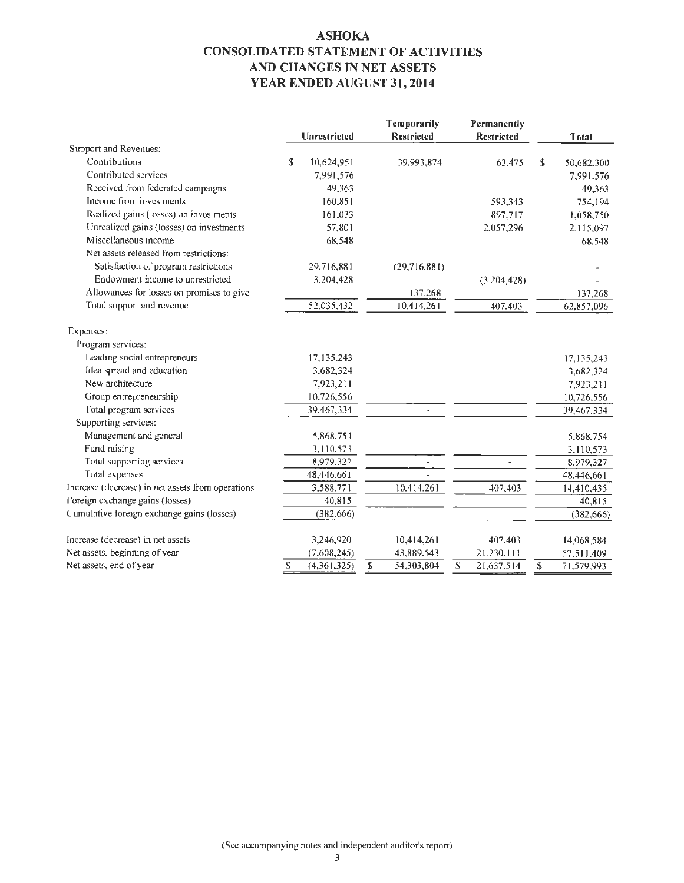### **ASHOKA CONSOLIDATED STATEMENT OF ACTIVITIES AND CHANGES IN NET ASSETS YEAR ENDED AUGUST 31,2014**

|                                                   |    |              | Temporarily              | Permanently       |                  |
|---------------------------------------------------|----|--------------|--------------------------|-------------------|------------------|
|                                                   |    | Unrestricted | <b>Restricted</b>        | <b>Restricted</b> | <b>Total</b>     |
| Support and Revenues:                             |    |              |                          |                   |                  |
| Contributions                                     | S  | 10,624,951   | 39,993,874               | 63,475            | \$<br>50,682,300 |
| Contributed services                              |    | 7,991,576    |                          |                   | 7,991,576        |
| Received from federated campaigns                 |    | 49,363       |                          |                   | 49,363           |
| Income from investments                           |    | 160,851      |                          | 593,343           | 754,194          |
| Realized gains (losses) on investments            |    | 161,033      |                          | 897,717           | 1,058,750        |
| Unrealized gains (losses) on investments          |    | 57,801       |                          | 2.057,296         | 2,115,097        |
| Miscellaneous income                              |    | 68,548       |                          |                   | 68,548           |
| Net assets released from restrictions:            |    |              |                          |                   |                  |
| Satisfaction of program restrictions              |    | 29,716,881   | (29,716,881)             |                   |                  |
| Endowment income to unrestricted                  |    | 3,204,428    |                          | (3,204,428)       |                  |
| Allowances for losses on promises to give         |    |              | 137,268                  |                   | 137,268          |
| Total support and revenue                         |    | 52,035,432   | 10,414,261               | 407,403           | 62,857,096       |
| Expenses:                                         |    |              |                          |                   |                  |
| Program services:                                 |    |              |                          |                   |                  |
| Leading social entrepreneurs                      |    | 17,135,243   |                          |                   | 17,135,243       |
| Idea spread and education                         |    | 3,682,324    |                          |                   | 3,682,324        |
| New architecture                                  |    | 7.923,211    |                          |                   | 7,923,211        |
| Group entrepreneurship                            |    | 10,726,556   |                          |                   | 10,726,556       |
| Total program services                            |    | 39,467,334   | ٠                        |                   | 39,467.334       |
| Supporting services:                              |    |              |                          |                   |                  |
| Management and general                            |    | 5,868,754    |                          |                   | 5,868,754        |
| Fund raising                                      |    | 3,110,573    |                          |                   | 3,110,573        |
| Total supporting services                         |    | 8,979.327    | $\overline{\phantom{a}}$ | $\blacksquare$    | 8.979,327        |
| Total expenses                                    |    | 48,446,661   |                          |                   | 48,446,661       |
| Increase (decrease) in net assets from operations |    | 3,588,771    | 10,414.261               | 407,403           | 14,410,435       |
| Foreign exchange gains (losses)                   |    | 40,815       |                          |                   | 40,815           |
| Cumulative foreign exchange gains (losses)        |    | (382, 666)   |                          |                   | (382, 666)       |
| Increase (decrease) in net assets                 |    | 3,246,920    | 10,414,261               | 407,403           | 14,068,584       |
| Net assets, beginning of year                     |    | (7,608,245)  | 43,889,543               | 21,230,111        | 57,511,409       |
| Net assets, end of year                           | \$ | (4,361,325)  | \$<br>54,303,804         | \$<br>21,637,514  | \$<br>71.579,993 |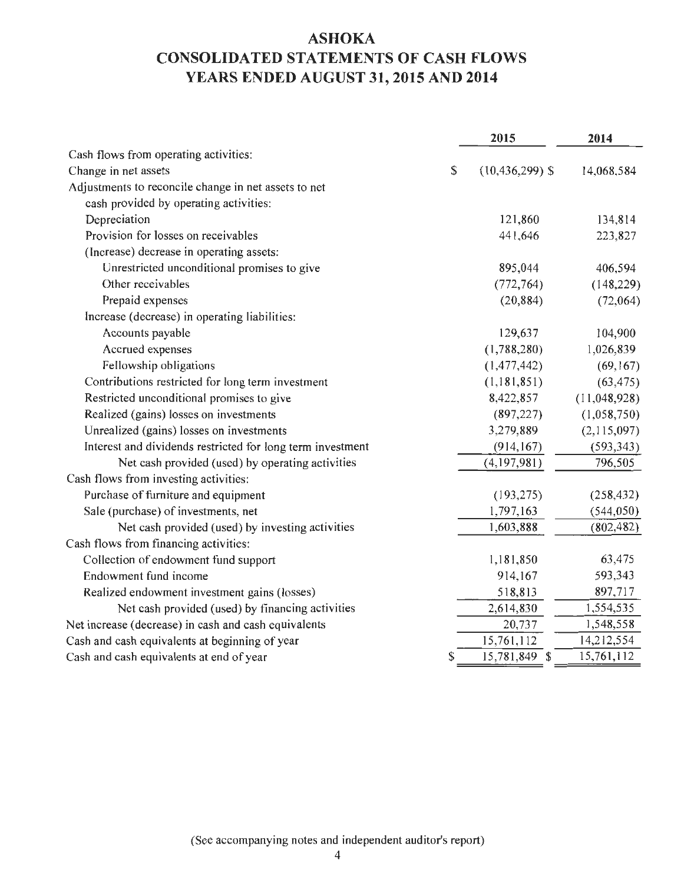# **ASHOKA CONSOLIDATED STATEMENTS OF CASH FLOWS YEARS ENDED AUGUST 31, 2015 AND 2014**

|                                                            | 2015                      | 2014         |
|------------------------------------------------------------|---------------------------|--------------|
| Cash flows from operating activities:                      |                           |              |
| Change in net assets                                       | \$<br>$(10, 436, 299)$ \$ | 14,068,584   |
| Adjustments to reconcile change in net assets to net       |                           |              |
| cash provided by operating activities:                     |                           |              |
| Depreciation                                               | 121,860                   | 134,814      |
| Provision for losses on receivables                        | 441,646                   | 223,827      |
| (Increase) decrease in operating assets:                   |                           |              |
| Unrestricted unconditional promises to give                | 895,044                   | 406,594      |
| Other receivables                                          | (772, 764)                | (148, 229)   |
| Prepaid expenses                                           | (20, 884)                 | (72,064)     |
| Increase (decrease) in operating liabilities:              |                           |              |
| Accounts payable                                           | 129,637                   | 104,900      |
| Accrued expenses                                           | (1,788,280)               | 1,026,839    |
| Fellowship obligations                                     | (1,477,442)               | (69, 167)    |
| Contributions restricted for long term investment          | (1,181,851)               | (63, 475)    |
| Restricted unconditional promises to give                  | 8,422,857                 | (11,048,928) |
| Realized (gains) losses on investments                     | (897, 227)                | (1,058,750)  |
| Unrealized (gains) losses on investments                   | 3,279,889                 | (2,115,097)  |
| Interest and dividends restricted for long term investment | (914, 167)                | (593, 343)   |
| Net cash provided (used) by operating activities           | (4,197,981)               | 796,505      |
| Cash flows from investing activities:                      |                           |              |
| Purchase of furniture and equipment                        | (193, 275)                | (258, 432)   |
| Sale (purchase) of investments, net                        | 1,797,163                 | (544, 050)   |
| Net cash provided (used) by investing activities           | 1,603,888                 | (802, 482)   |
| Cash flows from financing activities:                      |                           |              |
| Collection of endowment fund support                       | 1,181,850                 | 63,475       |
| Endowment fund income                                      | 914,167                   | 593,343      |
| Realized endowment investment gains (losses)               | 518,813                   | 897,717      |
| Net cash provided (used) by financing activities           | 2,614,830                 | 1,554,535    |
| Net increase (decrease) in cash and cash equivalents       | 20,737                    | 1,548,558    |
| Cash and cash equivalents at beginning of year             | 15,761,112                | 14,212,554   |
| Cash and cash equivalents at end of year                   | \$<br>15,781,849 \$       | 15,761,112   |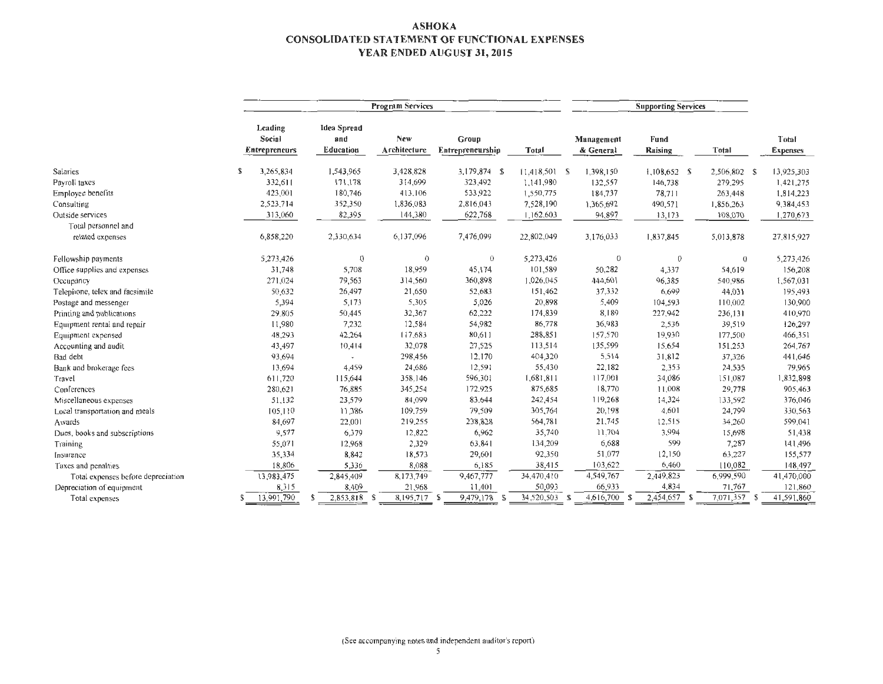#### ASHOKA CONSOLIDATED STATEMENT OF FUNCTIONAL EXPENSES YEAR ENDED AUGUST 31,2015

|                                    |                                           |                                        | <b>Program Services</b> |                           |                 |                         |                 |              |                          |
|------------------------------------|-------------------------------------------|----------------------------------------|-------------------------|---------------------------|-----------------|-------------------------|-----------------|--------------|--------------------------|
|                                    | Leading<br>Social<br><b>Entrepreneurs</b> | <b>Idea Spread</b><br>and<br>Education | New<br>Architecture     | Group<br>Entrepreneurship | Total           | Management<br>& General | Fund<br>Raising | Total        | Total<br><b>Expenses</b> |
| Salaries                           | 3,265,834<br>S                            | 1,543,965                              | 3,428,828               | 3,179,874 S               | $11,418,501$ \$ | 1,398,150               | $1,108,652$ \$  | 2,506,802 \$ | 13,925,303               |
| Payroll taxes                      | 332,611                                   | 171,178                                | 314,699                 | 323,492                   | 1,141,980       | 132,557                 | 146,738         | 279,295      | 1,421,275                |
| Employee benefits                  | 423,001                                   | 180,746                                | 413,106                 | 533,922                   | 1,550,775       | 184,737                 | 78,711          | 263,448      | 1,814,223                |
| Consulting                         | 2,523,714                                 | 352,350                                | 1,836,083               | 2,816,043                 | 7.528,190       | 1,365,692               | 490,571         | 1,856,263    | 9,384,453                |
| Outside services                   | 313,060                                   | 82,395                                 | 144,380                 | 622,768                   | 1,162,603       | 94,897                  | 13,173          | 108,070      | 1,270,673                |
| Total personnel and                |                                           |                                        |                         |                           |                 |                         |                 |              |                          |
| related expenses                   | 6,858,220                                 | 2,330,634                              | 6,137,096               | 7,476,099                 | 22,802,049      | 3,176,033               | 1,837,845       | 5,013,878    | 27,815,927               |
| Fellowship payments                | 5,273,426                                 | $\theta$                               | $\theta$                | $\overline{0}$            | 5,273,426       | $\overline{0}$          | $\mathbf{0}$    | $\theta$     | 5,273,426                |
| Office supplies and expenses       | 31,748                                    | 5,708                                  | 18,959                  | 45,174                    | 101,589         | 50,282                  | 4,337           | 54,619       | 156,208                  |
| Occupancy                          | 271,024                                   | 79,563                                 | 314,560                 | 360,898                   | 1,026,045       | 444,601                 | 96,385          | 540,986      | 1,567,031                |
| Telephone, telex and facsimile     | 50,632                                    | 26,497                                 | 21,650                  | 52,683                    | 151,462         | 37,332                  | 6,699           | 44,031       | 195,493                  |
| Postage and messenger              | 5,394                                     | 5,173                                  | 5.305                   | 5.026                     | 20,898          | 5,409                   | 104,593         | 110,002      | 130,900                  |
| Printing and publications          | 29,805                                    | 50,445                                 | 32,367                  | 62,222                    | 174,839         | 8,189                   | 227,942         | 236,131      | 410,970                  |
| Equipment rental and repair        | 11,980                                    | 7,232                                  | 12,584                  | 54,982                    | 86,778          | 36,983                  | 2,536           | 39,519       | 126,297                  |
| Equipment expensed                 | 48,293                                    | 42,264                                 | 117,683                 | 80,611                    | 288,851         | 157,570                 | 19,930          | 177,500      | 466,351                  |
| Accounting and audit               | 43,497                                    | 10,414                                 | 32,078                  | 27,525                    | 113,514         | 135,599                 | 15,654          | 151,253      | 264,767                  |
| Bad debt                           | 93,694                                    |                                        | 298,456                 | 12,170                    | 404,320         | 5,514                   | 31,812          | 37,326       | 441,646                  |
| Bank and brokerage fees            | 13,694                                    | 4,459                                  | 24,686                  | 12,591                    | 55,430          | 22,182                  | 2,353           | 24,535       | 79,965                   |
| Travel                             | 611,720                                   | 115,644                                | 358,146                 | 596,301                   | 1,681,811       | 117,001                 | 34,086          | 151,087      | 1,832,898                |
| Conferences                        | 280,621                                   | 76,885                                 | 345,254                 | 172,925                   | 875,685         | 18,770                  | 11,008          | 29,778       | 905,463                  |
| Miscellaneous expenses             | 51,132                                    | 23,579                                 | 84,099                  | 83.644                    | 242,454         | 119,268                 | 14,324          | 133,592      | 376,046                  |
| Local transportation and meals     | 105,110                                   | 11,386                                 | 109,759                 | 79,509                    | 305,764         | 20,198                  | 4,601           | 24,799       | 330,563                  |
| Awards                             | 84,697                                    | 22,001                                 | 219,255                 | 238,828                   | 564,781         | 21,745                  | 12,515          | 34,260       | 599,041                  |
| Dues, books and subscriptions      | 9,577                                     | 6,379                                  | 12,822                  | 6,962                     | 35,740          | 11,704                  | 3,994           | 15,698       | 51,438                   |
| Training                           | 55,071                                    | 12,968                                 | 2,329                   | 63,841                    | 134,209         | 6,688                   | 599             | 7,287        | 141,496                  |
| Insurance                          | 35,334                                    | 8,842                                  | 18,573                  | 29,601                    | 92,350          | 51,077                  | 12,150          | 63,227       | 155,577                  |
| Taxes and penalties                | 18,806                                    | 5,336                                  | 8,088                   | 6,185                     | 38,415          | 103,622                 | 6,460           | 110,082      | 148,497                  |
| Total expenses before depreciation | 13,983,475                                | 2,845,409                              | 8,173,749               | 9,467,777                 | 34,470,410      | 4,549,767               | 2,449,823       | 6,999,590    | 41,470,000               |
| Depreciation of equipment          | 8,315                                     | 8,409                                  | 21,968                  | 11,401                    | 50,093          | 66,933                  | 4,834           | 71,767       | 121,860                  |
| Total expenses                     | 13.991,790                                | 2,853,818 \$<br>S                      | 8,195,717 \$            | 9,479,178<br>-5           | 34,520,503 \$   | $4,616,700$ \$          | 2,454,657 \$    | 7,071,357 \$ | 41,591,860               |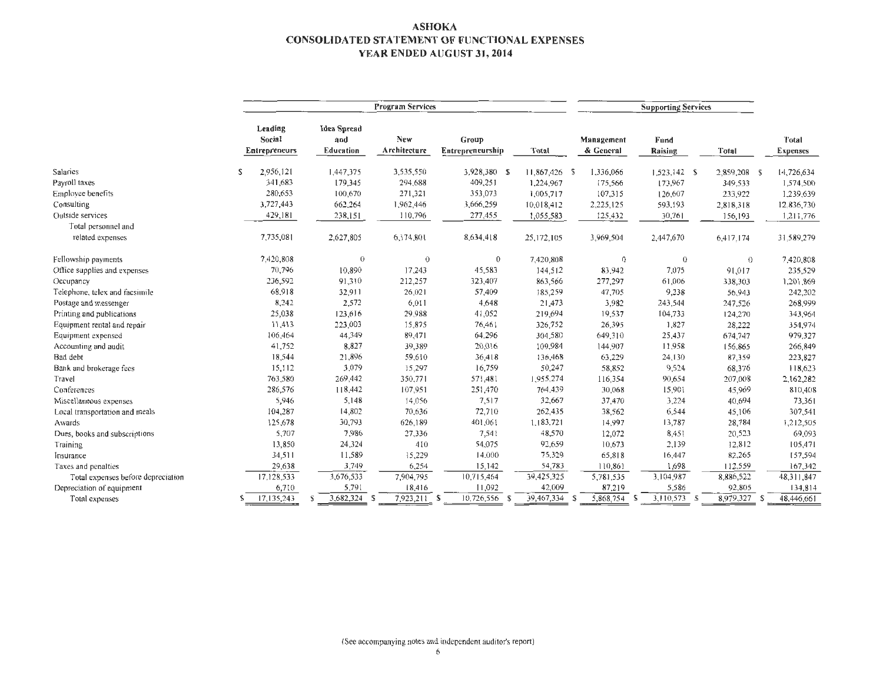#### ASHOKA CONSOLIDATED STATEMENT OF FUNCTIONAL EXPENSES YEAR ENDED AUGUST 31, 2014

|                                    |                                                  |                                        | <b>Program Services</b> |                           |               |                         |                   |                |                          |
|------------------------------------|--------------------------------------------------|----------------------------------------|-------------------------|---------------------------|---------------|-------------------------|-------------------|----------------|--------------------------|
|                                    | Leading<br><b>Social</b><br><b>Entrepreneurs</b> | <b>Idea Spread</b><br>and<br>Education | New<br>Architecture     | Group<br>Entrepreneurship | Total         | Management<br>& General | Fund<br>Raising   | Total          | Total<br><b>Expenses</b> |
| Salaries                           | S<br>2,956,121                                   | 1,447,375                              | 3,535,550               | 3,928,380 \$              | 11,867,426 \$ | 1,336,066               | $1,523,142$ \$    | 2,859,208 \$   | 14,726,634               |
| Payroll taxes                      | 341,683                                          | 179,345                                | 294,688                 | 409,251                   | 1,224,967     | 175,566                 | 173,967           | 349,533        | 1,574,500                |
| Employee benefits                  | 280,653                                          | 100,670                                | 271,321                 | 353,073                   | 1,005,717     | 107,315                 | 126,607           | 233,922        | 1,239,639                |
| Consulting                         | 3,727,443                                        | 662,264                                | 1,962,446               | 3,666,259                 | 10,018,412    | 2,225,125               | 593,193           | 2,818,318      | 12,836,730               |
| Outside services                   | 429,181                                          | 238,151                                | 110,796                 | 277,455                   | 1,055,583     | 125,432                 | 30,761            | 156,193        | 1,211,776                |
| Total personnel and                |                                                  |                                        |                         |                           |               |                         |                   |                |                          |
| related expenses                   | 7,735,081                                        | 2,627,805                              | 6,174,801               | 8,634,418                 | 25,172,105    | 3,969,504               | 2,447,670         | 6,417,174      | 31,589,279               |
| Fellowship payments                | 7,420,808                                        | $\theta$                               | $\theta$                | $\bf{0}$                  | 7,420,808     | 0                       | $\Omega$          | $\theta$       | 7,420,808                |
| Office supplies and expenses       | 70,796                                           | 10,890                                 | 17,243                  | 45,583                    | 144,512       | 83,942                  | 7,075             | 91,017         | 235,529                  |
| Occupancy                          | 236,592                                          | 91,310                                 | 212,257                 | 323,407                   | 863,566       | 277,297                 | 61,006            | 338,303        | 1.201.869                |
| Telephone, telex and facsimile     | 68,918                                           | 32,911                                 | 26,021                  | 57,409                    | 185,259       | 47,705                  | 9,238             | 56,943         | 242,202                  |
| Postage and messenger              | 8,242                                            | 2,572                                  | 6,011                   | 4,648                     | 21,473        | 3,982                   | 243,544           | 247,526        | 268,999                  |
| Printing and publications          | 25,038                                           | 123,616                                | 29,988                  | 41,052                    | 219,694       | 19,537                  | 104,733           | 124,270        | 343,964                  |
| Equipment rental and repair        | 11,413                                           | 223,003                                | 15,875                  | 76,461                    | 326,752       | 26,395                  | 1,827             | 28,222         | 354,974                  |
| Equipment expensed                 | 106,464                                          | 44 349                                 | 89,471                  | 64.296                    | 304,580       | 649,310                 | 25,437            | 674,747        | 979,327                  |
| Accounting and audit               | 41,752                                           | 8,827                                  | 39,389                  | 20,016                    | 109,984       | 144,907                 | 11,958            | 156,865        | 266,849                  |
| Bad debt                           | 18,544                                           | 21,896                                 | 59,610                  | 36,418                    | 136,468       | 63,229                  | 24,130            | 87,359         | 223,827                  |
| Bank and brokerage fees            | 15,112                                           | 3,079                                  | 15,297                  | 16,759                    | 50,247        | 58,852                  | 9,524             | 68,376         | 118,623                  |
| Travel                             | 763,580                                          | 269,442                                | 350,771                 | 571,481                   | 1,955,274     | 116,354                 | 90,654            | 207,008        | 2,162,282                |
| Conferences                        | 286,576                                          | 118,442                                | 107,951                 | 251,470                   | 764,439       | 30,068                  | 15,901            | 45,969         | 810,408                  |
| Miscellaneous expenses             | 5,946                                            | 5,148                                  | 14,056                  | 7,517                     | 32,667        | 37,470                  | 3,224             | 40,694         | 73,361                   |
| Local transportation and meals     | 104,287                                          | 14,802                                 | 70,636                  | 72,710                    | 262,435       | 38,562                  | 6,544             | 45,106         | 307,541                  |
| Awards                             | 125,678                                          | 30,793                                 | 626,189                 | 401,061                   | 1,183,721     | 14,997                  | 13,787            | 28,784         | 1,212,505                |
| Dues, books and subscriptions      | 5,707                                            | 7,986                                  | 27,336                  | 7,541                     | 48,570        | 12,072                  | 8,451             | 20,523         | 69.093                   |
| Training                           | 13,850                                           | 24,324                                 | 410                     | 54,075                    | 92,659        | 10,673                  | 2,139             | 12,812         | 105,471                  |
| Insurance                          | 34,511                                           | 11,589                                 | 15,229                  | 14,000                    | 75,329        | 65,818                  | 16,447            | 82,265         | 157,594                  |
| Taxes and penalties                | 29,638                                           | 3,749                                  | 6,254                   | 15,142                    | 54,783        | 110,861                 | 1,698             | 112,559        | 167,342                  |
| Total expenses before depreciation | 17,128,533                                       | 3,676,533                              | 7,904,795               | 10,715,464                | 39,425,325    | 5,781,535               | 3,104,987         | 8,886,522      | 48, 311, 847             |
| Depreciation of equipment          | 6,710                                            | 5,791                                  | 18,416                  | 11,092                    | 42,009        | 87.219                  | 5,586             | 92,805         | 134,814                  |
| Total expenses                     | 17,135,243                                       | 3,682,324<br>S                         | 7,923,211 \$<br>S       | 10,726,556<br>-S          | 39,467,334    | 5,868,754<br>- S<br>-S  | 3,110,573<br>- \$ | 8,979,327<br>S | 48,446,661               |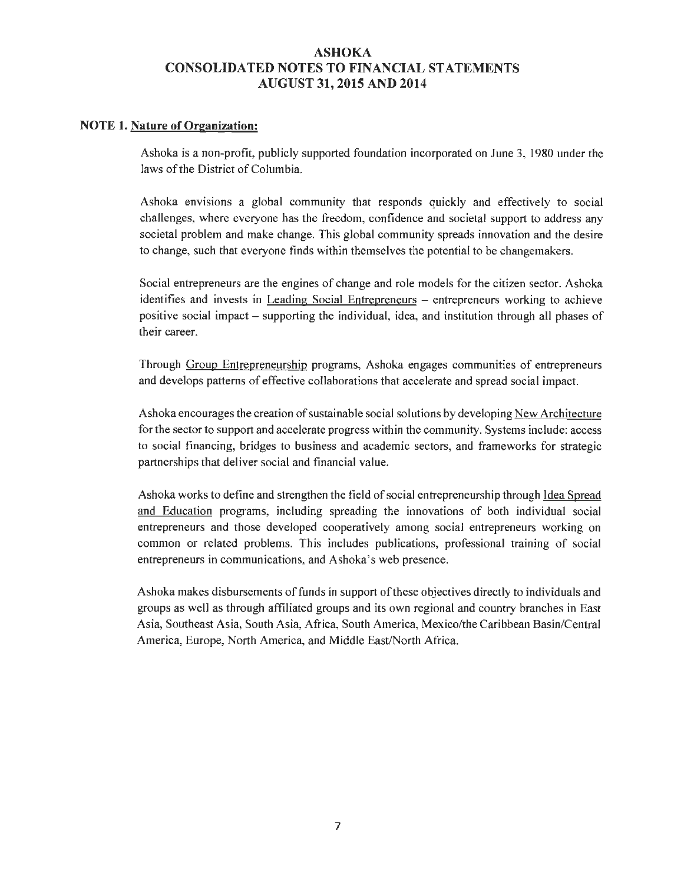#### **NOTE 1. Nature of Organization:**

Ashoka is a non-profit, publicly supported foundation incorporated on June 3, 1980 under the laws of the District of Columbia.

Ashoka envisions a global community that responds quickly and effectively to social challenges, where everyone has the freedom, confidence and societal support to address any societal problem and make change. This global community spreads innovation and the desire to change, such that everyone finds within themselves the potential to be changemakers.

Social entrepreneurs are the engines of change and role models for the citizen sector. Ashoka identifies and invests in Leading Social Entrepreneurs - entrepreneurs working to achieve positive social impact - supporting the individual, idea, and institution through all phases of their career.

Through Group Entrepreneurship programs, Ashoka engages communities of entrepreneurs and develops patterns of effective collaborations that accelerate and spread social impact.

Ashoka encourages the creation of sustainable social solutions by developing New Architecture for the sector to support and accelerate progress within the community. Systems include: access to social financing, bridges to business and academic sectors, and frameworks for strategic partnerships that deliver social and financial value.

Ashoka works to define and strengthen the field of social entrepreneurship through Idea Spread and Education programs, including spreading the innovations of both individual social entrepreneurs and those developed cooperatively among social entrepreneurs working on common or related problems. This includes publications, professional training of social entrepreneurs in communications, and Ashoka's web presence.

Ashoka makes disbursements of funds in support of these objectives directly to individuals and groups as well as through affiliated groups and its own regional and country branches in East Asia, Southeast Asia, South Asia, Africa, South America, Mexico/the Caribbean Basin/Central America, Europe, North America, and Middle East/North Africa.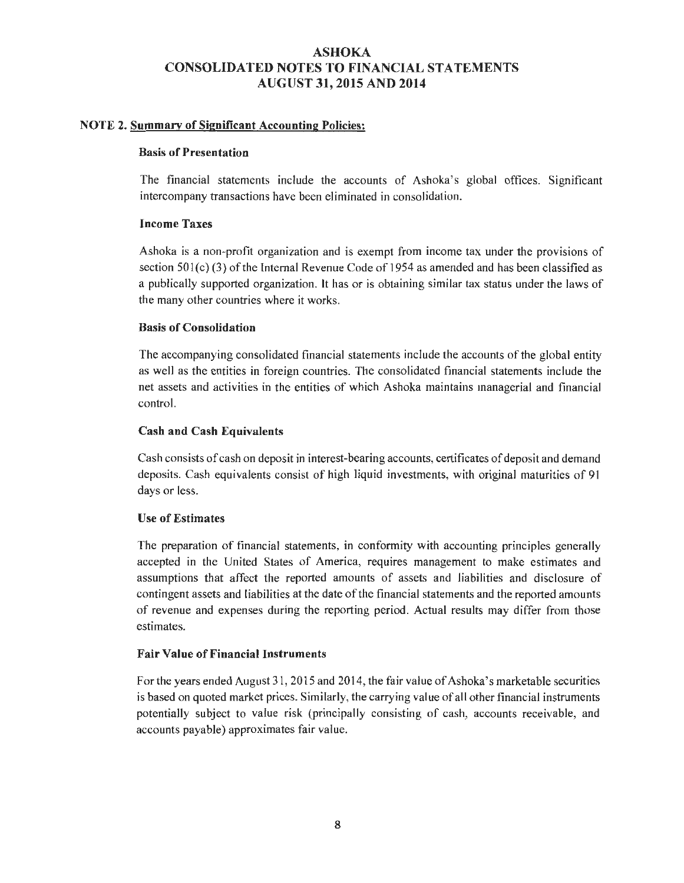#### NOTE 2. Summary of Significant Accounting Policies:

#### Basis of Presentation

The financial statements include the accounts of Ashoka's global offices. Significant intercompany transactions have been eliminated in consolidation.

#### Income Taxes

Ashoka is a non-profit organization and is exempt from income tax under the provisions of section  $501(c)$  (3) of the Internal Revenue Code of 1954 as amended and has been classified as a publically supported organization. It has or is obtaining similar tax status under the laws of the many other countries where it works.

#### Basis of Consolidation

The accompanying consolidated financial statements include the accounts of the global entity as well as the entities in foreign countries. The consolidated financial statements include the net assets and activities in the entities of which Ashoka maintains managerial and financial control.

#### Cash and Cash Equivalents

Cash consists of cash on deposit in interest-bearing accounts, certificates of deposit and demand deposits. Cash equivalents consist of high liquid investments, with original maturities of 91 days or less.

#### Use of Estimates

The preparation of financial statements, in conformity with accounting principles generally accepted in the United States of America, requires management to make estimates and assumptions that affect the reported amounts of assets and liabilities and disclosure of contingent assets and liabilities at the date of the financial statements and the reported amounts of revenue and expenses during the reporting period. Actual results may differ from those estimates.

#### Fair Value of Financial Instruments

For the years ended August 31, 2015 and 2014, the fair value of Ashoka's marketable securities is based on quoted market prices. Similarly, the carrying value of all other financial instruments potentially subject to value risk (principally consisting of cash, accounts receivable, and accounts payable) approximates fair value.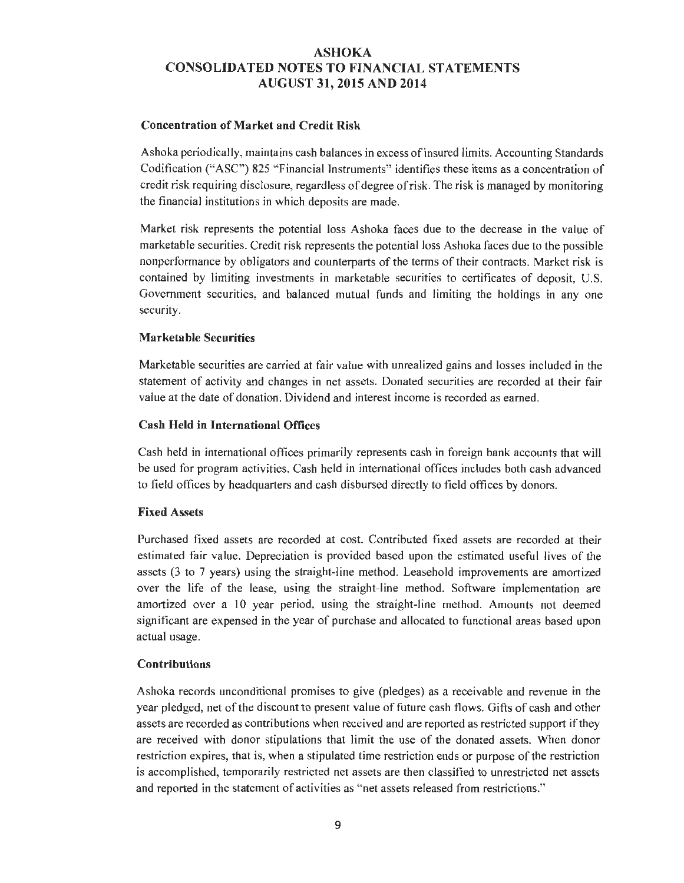#### Concentration of Market and Credit Risk

Ashoka periodically, maintains cash balances in excess of insured limits. Accounting Standards Codification ("ASC") 825 "Financial instruments" identifies these items as a concentration of credit risk requiring disclosure, regardless of degree of risk. The risk is managed by monitoring the financial institutions in which deposits are made.

Market risk represents the potential loss Ashoka faces due to the decrease in the value of marketable securities. Credit risk represents the potential loss Ashoka faces due to the possible nonperformance by obligators and counterparts of the terms of their contracts. Market risk is contained by limiting investments in marketable securities to certificates of deposit, U.S. Government securities, and balanced mutual funds and limiting the holdings in any one security.

#### Marketable Securities

Marketable securities are carried at fair value with unrealized gains and losses included in the statement of activity and changes in net assets. Donated securities are recorded at their fair value at the date of donation. Dividend and interest income is recorded as earned.

#### Cash Held in International Offices

Cash held in international offices primarily represents cash in foreign bank accounts that will be used for program activities. Cash held in international offices includes both cash advanced to field offices by headquarters and cash disbursed directly to field offices by donors.

#### Fixed Assets

Purchased fixed assets are recorded at cost. Contributed fixed assets are recorded at their estimated fair value. Depreciation is provided based upon the estimated useful lives of the assets (3 to 7 years) using the straight-line method. Leasehold improvements are amortized over the life of the lease, using the straight-line method. Software implementation are amortized over a 10 year period, using the straight-line method. Amounts not deemed significant are expensed in the year of purchase and allocated to functional areas based upon actual usage.

#### Contributions

Ashoka records unconditiona l promises to give (pledges) as a receivable and revenue in the year pledged, net of the discount to present value of future cash flows. Gifts of cash and other assets are recorded as contributions when received and are reported as restricted support if they are received with donor stipulations that limit the use of the donated assets. When donor restriction expires, that is, when a stipulated time restriction ends or purpose of the restriction is accomplished, temporarily restricted net assets are then classified to unrestricted net assets and reported in the statement of activities as "net assets released from restrictions."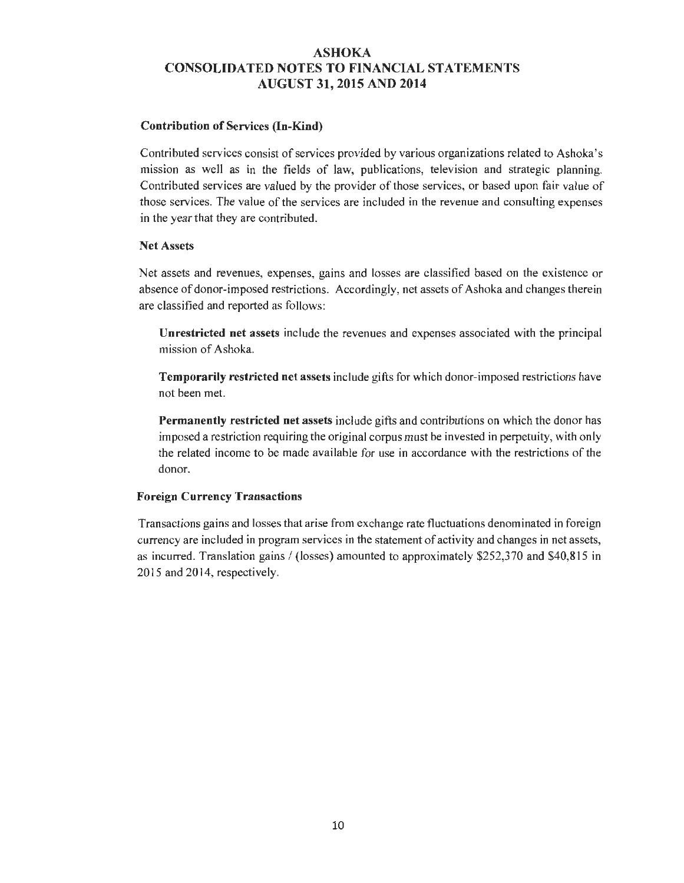#### **Contribution of** Services **(In-Kind)**

Contributed services consist of services provided by various organizations related to Ashoka's mission as well as in the fields of law, publications, television and strategic planning. Contributed services are valued by the provider of those services, or based upon fair value of those services. The value of the services are included in the revenue and consulting expenses in the year that they are contributed.

#### **Net** Assets

Net assets and revenues, expenses, gains and losses are classified based on the existence or absence of donor-imposed restrictions. Accordingly, net assets of Ashoka and changes therein are classified and reported as follows:

**Unrestricted net** assets include the revenues and expenses associated with the principal mission of Ashoka.

**Temporarily restricted net assets include gifts for which donor-imposed restrictions have** not been met.

**Permanently restricted net** assets include gifts and contributions on which the donor has imposed a restriction requiring the original corpus must be invested in perpetuity, with only the related income to be made available for use in accordance with the restrictions of the donor.

#### **Foreign Currency Transactions**

Transactions gains and losses that arise from exchange rate fluctuations denominated in foreign currency are included in program services in the statement of activity and changes in net assets, as incurred. Translation gains  $/$  (losses) amounted to approximately \$252,370 and \$40,815 in 2015 and 2014, respectively.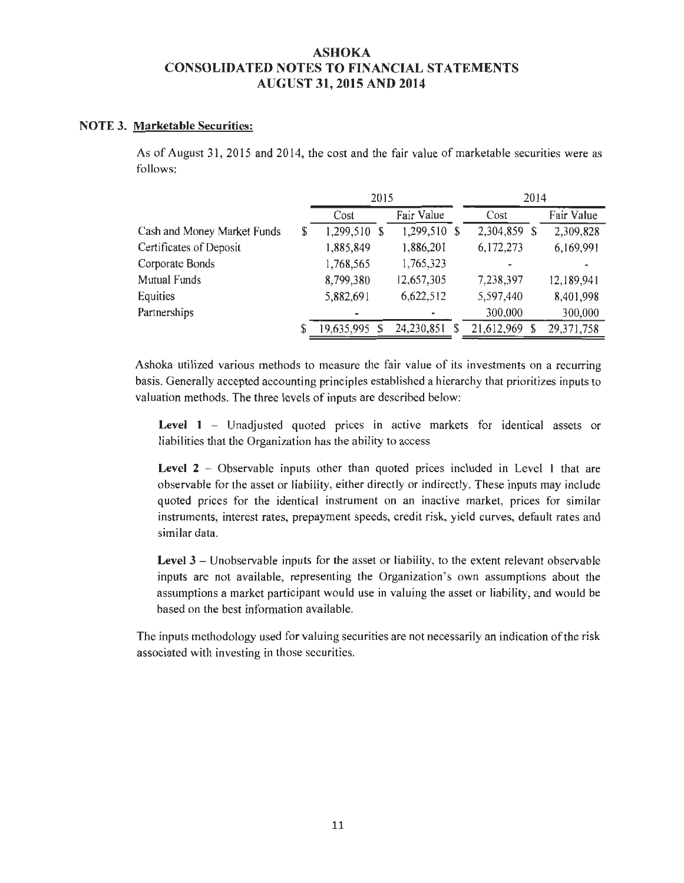#### **NOTE 3. Marketable Securities:**

As of August 31, 2015 and 2014, the cost and the fair value of marketable securities were as follows:

|                             | 2015               |              | 2014           |            |
|-----------------------------|--------------------|--------------|----------------|------------|
|                             | Cost               | Fair Value   | Cost           | Fair Value |
| Cash and Money Market Funds | \$<br>1,299,510 \$ | 1,299,510 \$ | 2,304,859<br>S | 2,309,828  |
| Certificates of Deposit     | 1,885,849          | 1,886,201    | 6,172,273      | 6,169,991  |
| Corporate Bonds             | 1,768,565          | 1,765,323    | ۰              |            |
| <b>Mutual Funds</b>         | 8,799,380          | 12,657,305   | 7,238,397      | 12,189,941 |
| Equities                    | 5,882,691          | 6,622,512    | 5,597,440      | 8,401,998  |
| Partnerships                |                    |              | 300,000        | 300,000    |
|                             | \$<br>19,635,995   | 24,230,851   | 21,612,969     | 29,371,758 |

Ashoka utilized various methods to measure the fair value of its investments on a recurring basis. Generally accepted accounting principles established a hierarchy that prioritizes inputs to valuation methods. The three levels of inputs are described below:

Level 1 – Unadjusted quoted prices in active markets for identical assets or liabilities that the Organization has the ability to access

Level 2 – Observable inputs other than quoted prices included in Level 1 that are observable for the asset or liability, either directly or indirectly. These inputs may include quoted prices for the identical instrument on an inactive market, prices for similar instruments, interest rates, prepayment speeds, credit risk, yield curves, default rates and similar data.

**Level 3** – Unobservable inputs for the asset or liability, to the extent relevant observable inputs are not available, representing the Organization's own assumptions about the assumptions a market participant would use in valuing the asset or liability, and would be based on the best information available.

The in puts methodology used for valuing securities are not necessarily an indication of the risk associated with investing *in* those securities.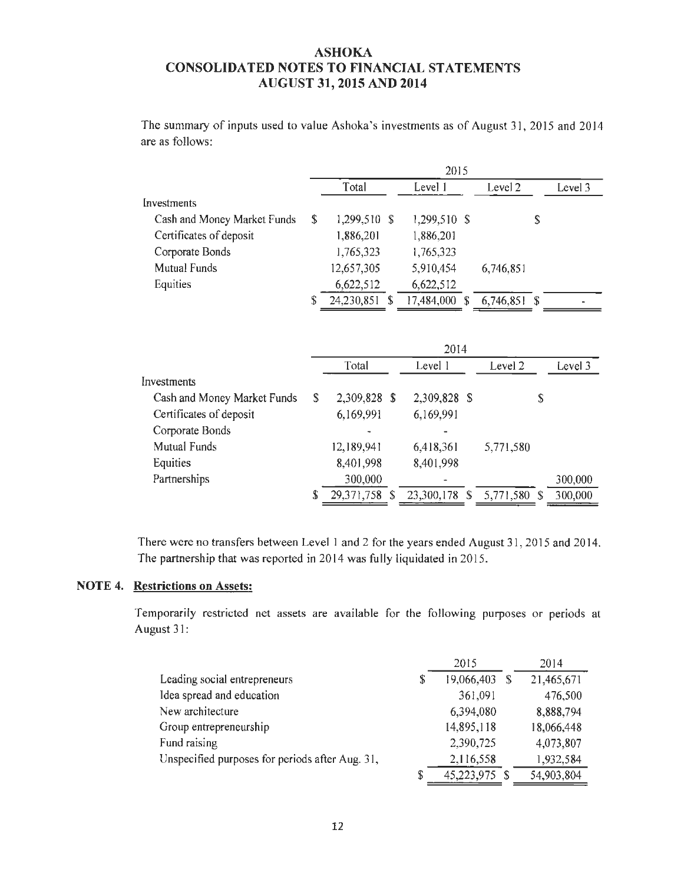The summary of inputs used to value Ashoka's investments as of August 31, 2015 and 2014 are as follows:

|    | 2015       |  |                            |  |              |    |                |
|----|------------|--|----------------------------|--|--------------|----|----------------|
|    | Total      |  | Level 1                    |  | Level 2      |    | Level 3        |
|    |            |  |                            |  |              |    |                |
| S. |            |  |                            |  |              | \$ |                |
|    | 1,886,201  |  | 1,886,201                  |  |              |    |                |
|    | 1,765,323  |  | 1,765,323                  |  |              |    |                |
|    | 12,657,305 |  | 5,910,454                  |  | 6,746,851    |    |                |
|    | 6,622,512  |  | 6,622,512                  |  |              |    |                |
| S  |            |  | 17,484,000                 |  |              |    |                |
|    |            |  | 1,299,510 \$<br>24,230,851 |  | 1,299,510 \$ |    | $6,746,851$ \$ |

|                             | 2014 |              |  |               |  |              |   |         |
|-----------------------------|------|--------------|--|---------------|--|--------------|---|---------|
|                             |      | Total        |  | Level 1       |  | Level 2      |   | Level 3 |
| Investments                 |      |              |  |               |  |              |   |         |
| Cash and Money Market Funds | S    | 2,309,828 \$ |  | 2,309,828 \$  |  |              | S |         |
| Certificates of deposit     |      | 6,169,991    |  | 6,169,991     |  |              |   |         |
| Corporate Bonds             |      |              |  |               |  |              |   |         |
| Mutual Funds                |      | 12,189,941   |  | 6,418,361     |  | 5,771,580    |   |         |
| Equities                    |      | 8,401,998    |  | 8,401,998     |  |              |   |         |
| Partnerships                |      | 300,000      |  |               |  |              |   | 300,000 |
|                             |      | 29,371,758   |  | 23,300,178 \$ |  | 5,771,580 \$ |   | 300,000 |

There were no transfers between Level 1 and 2 for the years ended August 31, 2015 and 2014. The partnership that was reported in 2014 was fully liquidated in 2015.

# **NOTE 4. Restrictions on** Assets:

Temporarily restricted net assets are available for the following purposes or periods at August 31:

|                                                 | 2015             | 2014       |
|-------------------------------------------------|------------------|------------|
| Leading social entrepreneurs                    | \$<br>19,066,403 | 21,465,671 |
| Idea spread and education                       | 361,091          | 476,500    |
| New architecture                                | 6,394,080        | 8,888,794  |
| Group entrepreneurship                          | 14,895,118       | 18,066,448 |
| Fund raising                                    | 2,390,725        | 4,073,807  |
| Unspecified purposes for periods after Aug. 31, | 2,116,558        | 1,932,584  |
|                                                 | 45,223,975 \$    | 54,903,804 |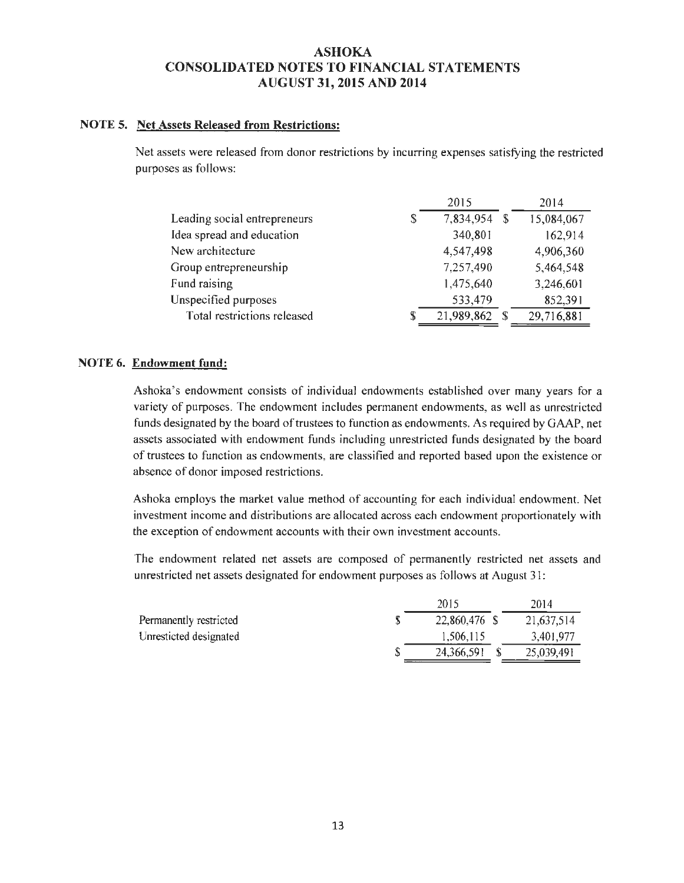#### **NOTE 5. Net** Assets **Released from Restrictions:**

Net assets were released from donor restrictions by incurring expenses satisfying the restricted purposes as follows:

|                                    | 2015       | 2014             |
|------------------------------------|------------|------------------|
| Leading social entrepreneurs<br>\$ | 7,834,954  | 15,084,067<br>-S |
| Idea spread and education          | 340,801    | 162,914          |
| New architecture                   | 4,547,498  | 4,906,360        |
| Group entrepreneurship             | 7,257,490  | 5,464,548        |
| Fund raising                       | 1,475,640  | 3,246,601        |
| Unspecified purposes               | 533,479    | 852,391          |
| Total restrictions released<br>S   | 21,989,862 | 29,716,881<br>-S |

#### **NOTE 6. Endowment fund:**

Ashoka 's endowment consists of individual endowments established over many years for a variety of purposes. The endowment includes permanent endowments, as well as unrestricted funds designated by the board of trustees to function as endowments. As required by GAAP, net assets associated with endowment funds including unrestricted funds designated by the board of trustees to function as endowments, are classified and reported based upon the existence or absence of donor imposed restrictions.

Ashoka employs the market value method of accounting for each individual endowment. Net investment income and distributions are allocated across each endowment proportionately with the exception of endowment accounts with their own investment accounts.

The endowment related net assets are composed of permanently restricted net assets and unrestricted net assets designated for endowment purposes as follows at August 31:

|                        | 2015          | 2014       |
|------------------------|---------------|------------|
| Permanently restricted | 22,860,476 \$ | 21,637,514 |
| Unresticted designated | 1,506,115     | 3,401,977  |
|                        | 24,366,591    | 25,039,491 |
|                        |               |            |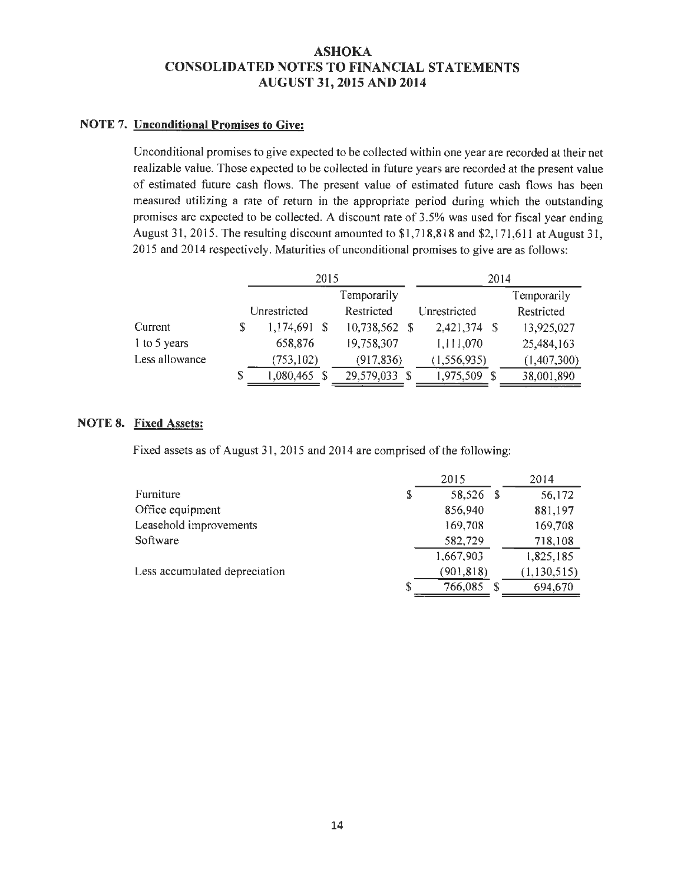#### **NOTE 7. Unconditional Promises to Give:**

Unconditional promises to give expected to be collected within one year are recorded at their net realizable value. Those expected to be collected in future years are recorded at the present value of estimated future cash flows. The present value of estimated future cash flows has been measured utilizing a rate of return in the appropriate period during which the outstanding promises are expected to be collected. A discount rate of 3.5% was used for fiscal year ending August 31, 2015. The resulting discount amounted to \$1,718,818 and \$2, 171 ,611 at August 31, 2015 and 2014 respectively. Maturities of unconditional promises to give are as follows:

|                |   | 2015         |  | 2014          |               |     |             |
|----------------|---|--------------|--|---------------|---------------|-----|-------------|
|                |   |              |  | Temporarily   |               |     | Temporarily |
|                |   | Unrestricted |  | Restricted    | Unrestricted  |     | Restricted  |
| Current        |   | 1,174,691 \$ |  | 10,738,562 \$ | 2.421,374 \$  |     | 13,925,027  |
| 1 to 5 years   |   | 658,876      |  | 19,758,307    | 1,111,070     |     | 25,484,163  |
| Less allowance |   | (753, 102)   |  | (917, 836)    | (1, 556, 935) |     | (1,407,300) |
|                | S | 1,080,465    |  | 29,579,033 \$ | 1,975,509     | - S | 38,001,890  |

### **NOTE 8. Fixed** Assets:

Fixed assets as of August 31, 2015 and 2014 are comprised of the following:

|                               |    | 2015       |     | 2014        |
|-------------------------------|----|------------|-----|-------------|
| Furniture                     | \$ | 58,526     | - S | 56,172      |
| Office equipment              |    | 856,940    |     | 881,197     |
| Leasehold improvements        |    | 169,708    |     | 169,708     |
| Software                      |    | 582,729    |     | 718,108     |
|                               |    | 1,667,903  |     | 1,825,185   |
| Less accumulated depreciation |    | (901, 818) |     | (1,130,515) |
|                               | S  | 766,085    |     | 694,670     |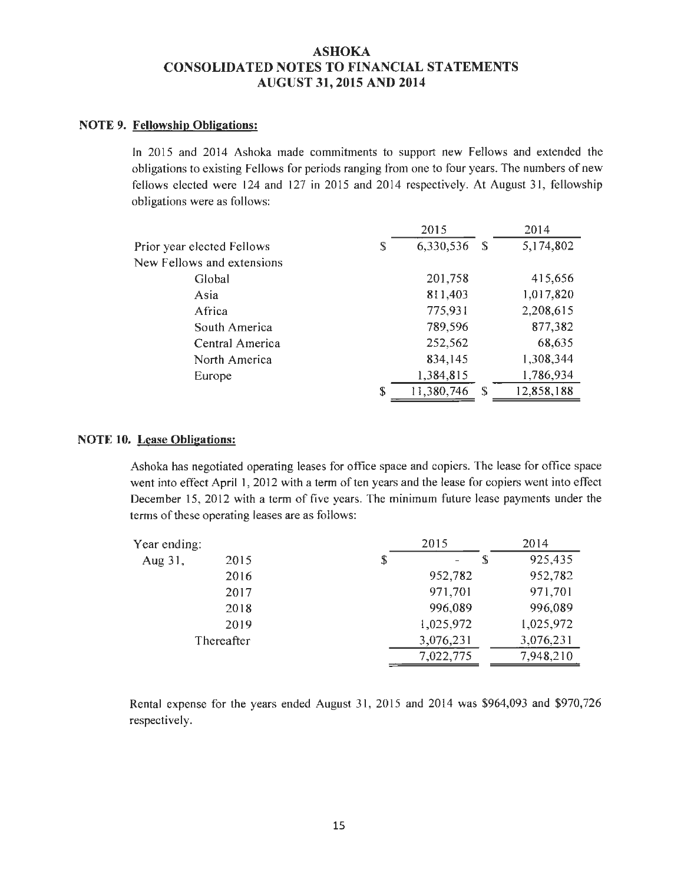#### NOTE 9. Fellowship Obligations:

In 2015 and 2014 Ashoka made commitments to support new Fellows and extended the obligations to existing Fellows for periods ranging from one to four years. The numbers of new fellows elected were 124 and 127 in 2015 and 2014 respectively. At August 31, fellowship obligations were as follows:

|                            |    | 2015       |      | 2014       |
|----------------------------|----|------------|------|------------|
| Prior year elected Fellows | S  | 6,330,536  | - \$ | 5,174,802  |
| New Fellows and extensions |    |            |      |            |
| Global                     |    | 201,758    |      | 415,656    |
| Asia                       |    | 811,403    |      | 1,017,820  |
| Africa                     |    | 775,931    |      | 2,208,615  |
| South America              |    | 789,596    |      | 877,382    |
| Central America            |    | 252,562    |      | 68,635     |
| North America              |    | 834,145    |      | 1,308,344  |
| Europe                     |    | 1,384,815  |      | 1,786,934  |
|                            | \$ | 11,380,746 | -S   | 12,858,188 |

#### NOTE 10. Lease Obligations:

Ashoka has negotiated operating leases for office space and copiers. The lease for office space went into effect April 1, 2012 with a term of ten years and the lease for copiers went into effect December 15, 2012 with a term of five years. The minimum future lease payments under the terms of these operating leases are as follows:

| Year ending: |            | 2015      |   | 2014      |
|--------------|------------|-----------|---|-----------|
| Aug 31,      | 2015       | \$        | S | 925,435   |
|              | 2016       | 952,782   |   | 952,782   |
|              | 2017       | 971,701   |   | 971,701   |
|              | 2018       | 996,089   |   | 996,089   |
|              | 2019       | 1,025,972 |   | 1,025,972 |
|              | Thereafter | 3,076,231 |   | 3,076,231 |
|              |            | 7,022,775 |   | 7,948,210 |

Rental expense for the years ended August 31, 2015 and 2014 was \$964,093 and \$970,726 respectively.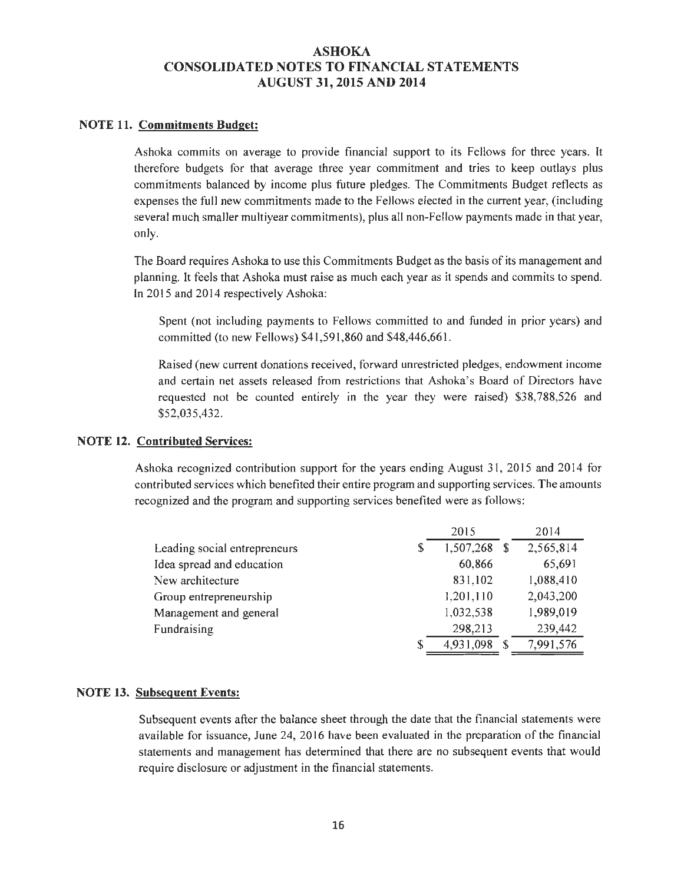#### NOTE 11. Commitments Budget:

Ashoka commits on average to provide financial support to its Fellows for three years. It therefore budgets for that average three year commitment and tries to keep outlays plus commitments balanced by income plus future pledges. The Commitments Budget reflects as expenses the full new commitments made to the Fellows elected in the current year, (including several much smaller multiyear commitments), plus all non-Fellow payments made in that year, only.

The Board requires Ashoka to use this Commitments Budget as the basis of its management and planning. lt feels that Ashoka must raise as much each year as it spends and commits to spend. In 2015 and 2014 respectively Ashoka:

Spent (not including payments to Fellows committed to and funded in prior years) and committed (to new Fellows) \$41,591,860 and \$48,446,661.

Raised (new current donations received, forward unrestricted pledges, endowment income and certain net assets released from restrictions that Ashoka's Board of Directors have requested not be counted entirely in the year they were raised) \$38,788,526 and \$52,035,432.

#### NOTE 12. Contributed Services:

Ashoka recognized contribution support for the years ending August 31, 2015 and 2014 for contributed services which benefited their entire program and supporting services. The amounts recognized and the program and supporting services benefited were as follows:

|                              |   | 2015      | 2014      |
|------------------------------|---|-----------|-----------|
| Leading social entrepreneurs | S | 1,507,268 | 2,565,814 |
| Idea spread and education    |   | 60.866    | 65,691    |
| New architecture             |   | 831.102   | 1,088,410 |
| Group entrepreneurship       |   | 1,201,110 | 2,043,200 |
| Management and general       |   | 1,032,538 | 1,989,019 |
| Fundraising                  |   | 298,213   | 239,442   |
|                              | S | 4,931,098 | 7,991,576 |

#### NOTE 13. Subsequent Events:

Subsequent events after the balance sheet through the date that the financial statements were available for issuance, June 24, 2016 have been evaluated in the preparation of the financial statements and management has determined that there are no subsequent events that would require disclosure or adjustment in the financial statements.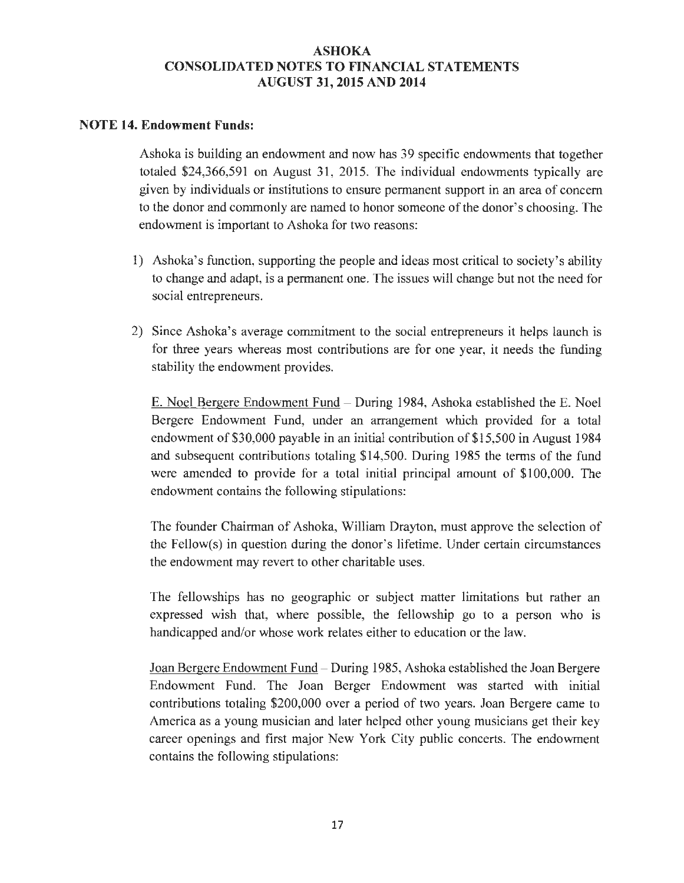### **NOTE 14. Endowment Funds:**

Ashoka is building an endowment and now has 39 specific endowments that together totaled \$24,366,591 on August 31, 2015. The individual endowments typically are given by individuals or institutions to ensure permanent support in an area of concern to the donor and commonly are named to honor someone of the donor's choosing. The endowment is important to Ashoka for two reasons:

- 1) Ashoka's function, supporting the people and ideas most critical to society's ability to change and adapt, is a permanent one. The issues will change but not the need for social entrepreneurs.
- 2) Since Ashoka's average commitment to the social entrepreneurs it helps launch is for three years whereas most contributions are for one year, it needs the funding stability the endowment provides.

E. Noel Bergere Endowment Fund - During 1984, Ashoka established the E. Noel Bergere Endowment Fund, under an arrangement which provided for a total endowment of \$30,000 payable in an initial contribution of \$15,500 in August 1984 and subsequent contributions totaling \$14,500. During 1985 the terms of the fund were amended to provide for a total initial principal amount of \$100,000. The endowment contains the following stipulations:

The founder Chairman of Ashoka, William Drayton, must approve the selection of the Fellow(s) in question during the donor's lifetime. Under certain circumstances the endowment may revert to other charitable uses.

The fellowships has no geographic or subject matter limitations but rather an expressed wish that, where possible, the fellowship go to a person who is handicapped and/or whose work relates either to education or the law.

Joan Bergere Endowment Fund - During 1985, Ashoka established the Joan Bergere Endowment Fund. The Joan Berger Endowment was started with initial contributions totaling \$200,000 over a period of two years. Joan Bergere came to America as a young musician and later helped other young musicians get their key career openings and first major New York City public concerts. The endowment contains the following stipulations: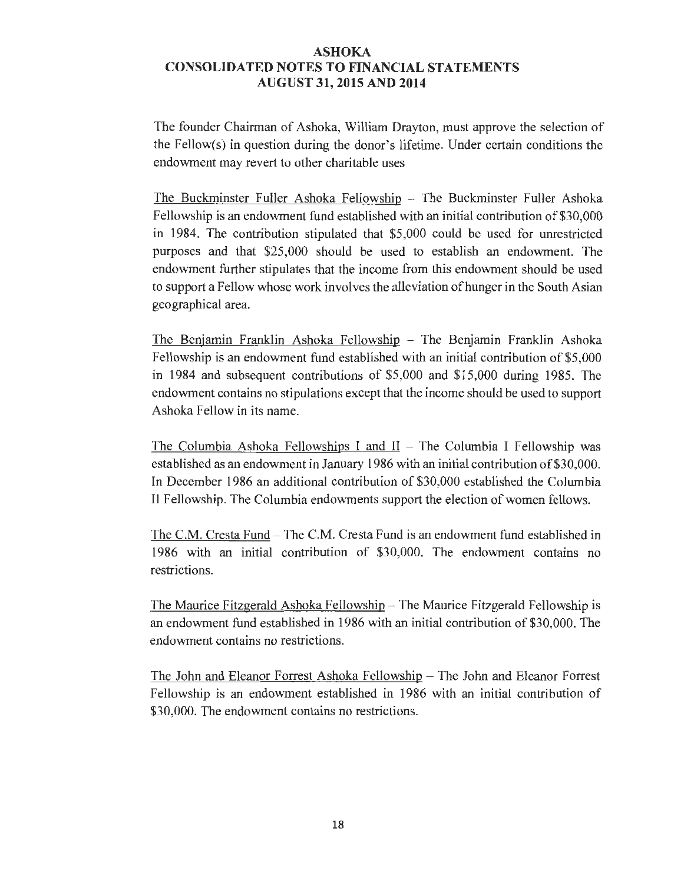The founder Chairman of Ashoka, William Drayton, must approve the selection of the Fellow(s) in question during the donor's lifetime. Under certain conditions the endowment may revert to other charitable uses

The Buckminster Fuller Ashoka Fellowship - The Buckminster Fuller Ashoka Fellowship is an endowment fund established with an initial contribution of \$30,000 in 1984. The contribution stipulated that \$5,000 could be used for unrestricted purposes and that \$25,000 should be used to establish an endowment. The endowment further stipulates that the income from this endowment should be used to support a Fellow whose work involves the alleviation of hunger in the South Asian geographical area.

The Benjamin Franklin Ashoka Fellowship - The Benjamin Franklin Ashoka Fellowship is an endowment fund established with an initial contribution of \$5,000 in 1984 and subsequent contributions of \$5,000 and \$15,000 during 1985. The endowment contains no stipulations except that the income should be used to support Ashoka Fellow in its name.

The Columbia Ashoka Fellowships I and  $II$  – The Columbia I Fellowship was established as an endowment in January 1986 with an initial contribution of \$30,000. In December 1986 an additional contribution of \$30,000 established the Columbia II Fellowship. The Columbia endowments support the election of women fellows.

The C.M. Cresta Fund - The C.M. Cresta Fund is an endowment fund established in 1986 with an initial contribution of \$30,000. The endowment contains no restrictions.

The Maurice Fitzgerald Ashoka Fellowship  $-$  The Maurice Fitzgerald Fellowship is an endowment fund established in 1986 with an initial contribution of \$30,000. The endowment contains no restrictions.

The John and Eleanor Forrest Ashoka Fellowship - The John and Eleanor Forrest Fellowship is an endowment established in 1986 with an initial contribution of \$30,000. The endowment contains no restrictions.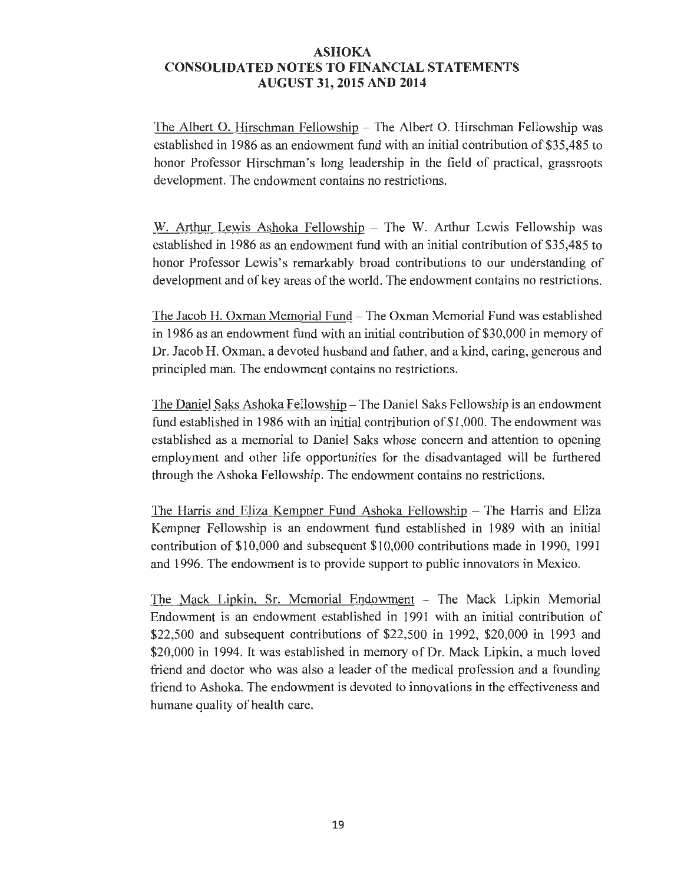The Albert 0. Hirschman Fellowship - The Albert 0. Hirschman Fellowship was established in 1986 as an endowment fund with an initial contribution of \$35,485 to honor Professor Hirschman's long leadership in the field of practical, grassroots development. The endowment contains no restrictions.

W. Arthur Lewis Ashoka Fellowship - The W. Arthur Lewis Fellowship was established in 1986 as an endowment fund with an initial contribution of \$35,485 to honor Professor Lewis's remarkably broad contributions to our understanding of development and of key areas of the world. The endowment contains no restrictions.

The Jacob H. Oxman Memorial Fund - The Oxman Memorial Fund was established in 1986 as an endowment fund with an initial contribution of \$30,000 in memory of Dr. Jacob H. Oxman, a devoted husband and father, and a kind, caring, generous and principled man. The endowment contains no restrictions.

The Daniel Saks Ashoka Fellowship - The Daniel Saks Fellowship is an endowment fund established in 1986 with an initial contribution of \$1,000. The endowment was established as a memorial to Daniel Saks whose concern and attention to opening employment and other life opportunities for the disadvantaged will be furthered through the Ashoka Fellowship. The endowment contains no restrictions.

The Harris and Eliza Kempner Fund Ashoka Fellowship - The Harris and Eliza Kempner Fellowship is an endowment fund established in 1989 with an initial contribution of \$10,000 and subsequent \$10,000 contributions made in 1990, 1991 and 1996. The endowment is to provide support to public innovators in Mexico.

The Mack Lipkin, Sr. Memorial Endowment - The Mack Lipkin Memorial Endowment is an endowment established in 1991 with an initial contribution of \$22,500 and subsequent contributions of \$22,500 in 1992, \$20,000 in 1993 and \$20,000 in 1994. It was established in memory of Dr. Mack Lipkin, a much loved friend and doctor who was also a leader of the medical profession and a founding friend to Ashoka. The endowment is devoted to innovations in the effectiveness and humane quality of health care.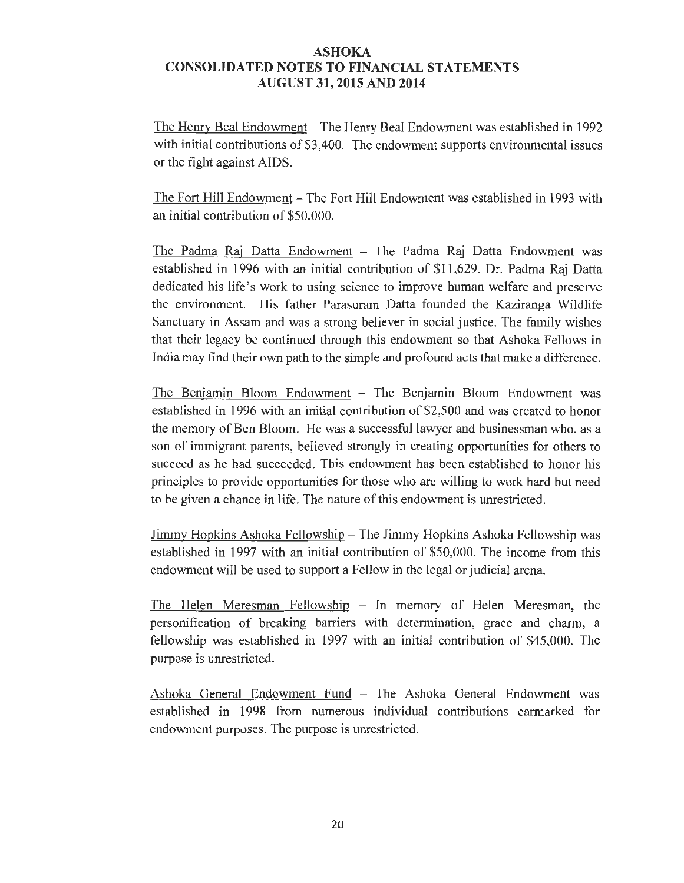The Henry Beal Endowment - The Henry Beal Endowment was established in 1992 with initial contributions of \$3,400. The endowment supports environmental issues or the fight against AIDS.

The Fort Hill Endowment - The Fort Hill Endowment was established in 1993 with an initial contribution of \$50,000.

The Padma Raj Datta Endowment - The Padma Raj Datta Endowment was established in 1996 with an initial contribution of \$11,629. Dr. Padma Raj Datta dedicated his life's work to using science to improve human welfare and preserve the environment. His father Parasuram Datta founded the Kaziranga Wildlife Sanctuary in Assam and was a strong believer in social justice. The family wishes that their legacy be continued through this endowment so that Ashoka Fellows in India may find their own path to the simple and profound acts that make a difference.

The Benjamin Bloom Endowment - The Benjamin Bloom Endowment was established in 1996 with an initial contribution of \$2,500 and was created to honor the memory of Ben Bloom. He was a successful lawyer and businessman who, as a son of immigrant parents, believed strongly in creating opportunities for others to succeed as he had succeeded. This endowment has been established to honor his principles to provide opportunities for those who are willing to work hard but need to be given a chance in life. The nature of this endowment is unrestricted.

Jimmy Hopkins Ashoka Fellowship - The Jimmy Hopkins Ashoka Fellowship was established in 1997 with an initial contribution of \$50,000. The income from this endowment will be used to support a Fellow in the legal or judicial arena.

The Helen Meresman Fellowship - In memory of Helen Meresman, the personification of breaking barriers with determination, grace and charm, a fellowship was established in 1997 with an initial contribution of \$45,000. The purpose is unrestricted.

Ashoka General Endowment Fund - The Ashoka General Endowment was established in 1998 from numerous individual contributions earmarked for endowment purposes. The purpose is unrestricted.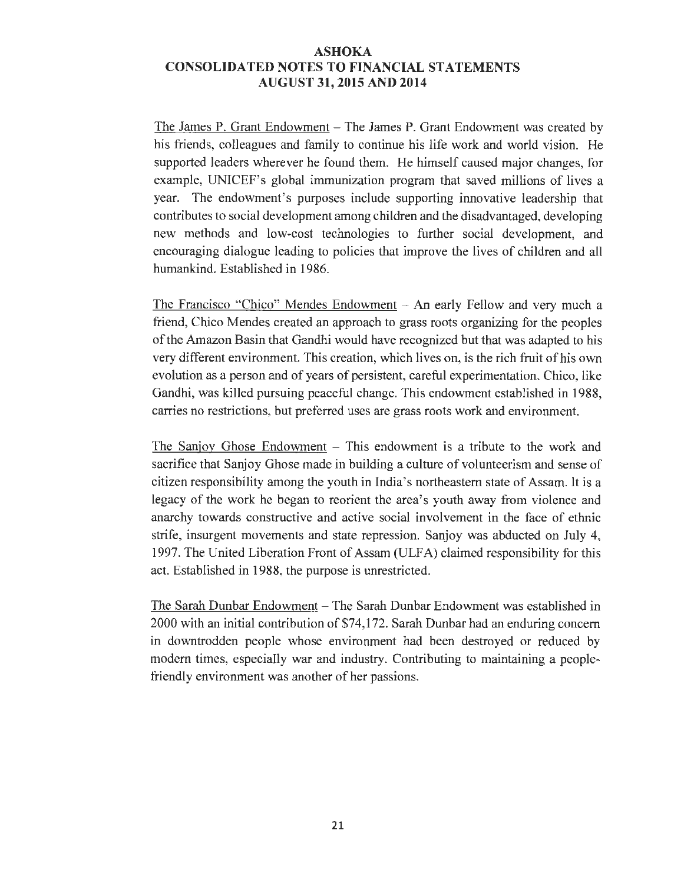The James P. Grant Endowment - The James P. Grant Endowment was created by his friends, colleagues and family to continue his life work and world vision. He supported leaders wherever he found them. He himself caused major changes, for example, UNICEF's global immunization program that saved millions of lives a year. The endowment's purposes include supporting innovative leadership that contributes to social development among children and the disadvantaged, developing new methods and low-cost technologies to further social development, and encouraging dialogue leading to policies that improve the lives of children and all humankind. Established in 1986.

The Francisco "Chico" Mendes Endowment  $-$  An early Fellow and very much a friend, Chico Mendes created an approach to grass roots organizing for the peoples of the Amazon Basin that Gandhi would have recognized but that was adapted to his very different environment. This creation, which lives on, is the rich fruit of his own evolution as a person and of years of persistent, careful experimentation. Chico, like Gandhi, was killed pursuing peaceful change. This endowment established in 1988, carries no restrictions, but preferred uses are grass roots work and environment.

The Sanjoy Ghose Endowment – This endowment is a tribute to the work and sacrifice that Sanjoy Ghose made in building a culture of volunteerism and sense of citizen responsibility among the youth in India's northeastern state of Assam. It is a legacy of the work he began to reorient the area's youth away from violence and anarchy towards constructive and active social involvement in the face of ethnic strife, insurgent movements and state repression. Sanjoy was abducted on July 4, 1997. The United Liberation Front of Assam (ULFA) claimed responsibility for this act. Established in 1988, the purpose is unrestricted.

The Sarah Dunbar Endowment - The Sarah Dunbar Endowment was established in 2000 with an initial contribution of \$74,172. Sarah Dunbar had an enduring concern in downtrodden people whose environment had been destroyed or reduced by modem times, especially war and industry. Contributing to maintaining a peoplefriendly environment was another of her passions.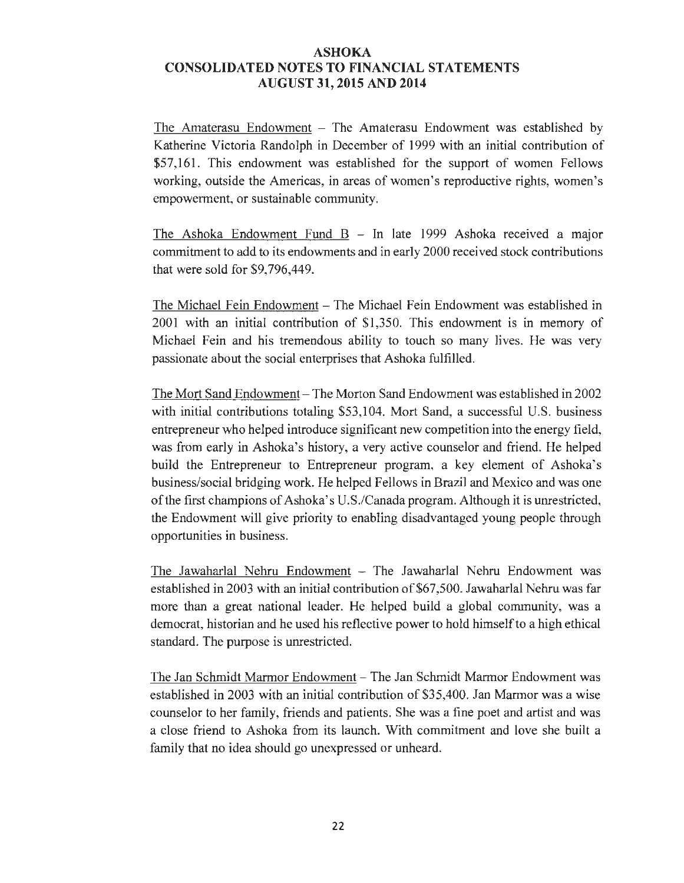The Amaterasu Endowment  $-$  The Amaterasu Endowment was established by Katherine Victoria Randolph in December of 1999 with an initial contribution of \$57,161. This endowment was established for the support of women Fellows working, outside the Americas, in areas of women's reproductive rights, women's empowerment, or sustainable community.

The Ashoka Endowment Fund  $B - In$  late 1999 Ashoka received a major commitment to add to its endowments and in early 2000 received stock contributions that were sold for \$9,796,449.

The Michael Fein Endowment- The Michael Fein Endowment was established in 2001 with an initial contribution of \$1,350. This endowment is in memory of Michael Fein and his tremendous ability to touch so many lives. He was very passionate about the social enterprises that Ashoka fulfilled.

The Mort Sand Endowment- The Morton Sand Endowment was established in 2002 with initial contributions totaling \$53,104. Mort Sand, a successful U.S. business entrepreneur who helped introduce significant new competition into the energy field, was from early in Ashoka's history, a very active counselor and friend. He helped build the Entrepreneur to Entrepreneur program, a key element of Ashoka's business/social bridging work. He helped Fellows in Brazil and Mexico and was one of the first champions of Ashoka's U.S./Canada program. Although it is unrestricted, the Endowment will give priority to enabling disadvantaged young people through opportunities in business.

The Jawaharlal Nehru Endowment - The Jawaharlal Nehru Endowment was established in 2003 with an initial contribution of \$67,500. Jawaharlal Nehru was far more than a great national leader. He helped build a global community, was a democrat, historian and he used his reflective power to hold himself to a high ethical standard. The purpose is unrestricted.

The Jan Schmidt Marmor Endowment - The Jan Schmidt Marmor Endowment was established in 2003 with an initial contribution of \$35,400. Jan Marmor was a wise counselor to her family, friends and patients. She was a fine poet and artist and was a close friend to Ashoka from its launch. With commitment and love she built a family that no idea should go unexpressed or unheard.